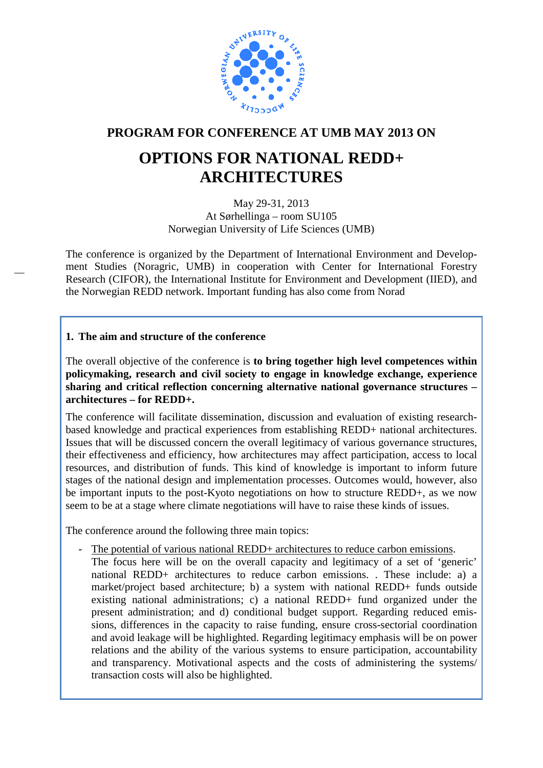

### **PROGRAM FOR CONFERENCE AT UMB MAY 2013 ON**

## **OPTIONS FOR NATIONAL REDD+ ARCHITECTURES**

May 29-31, 2013 At Sørhellinga – room SU105 Norwegian University of Life Sciences (UMB)

The conference is organized by the Department of International Environment and Development Studies (Noragric, UMB) in cooperation with Center for International Forestry Research (CIFOR), the International Institute for Environment and Development (IIED), and the Norwegian REDD network. Important funding has also come from Norad

#### **1. The aim and structure of the conference**

—

The overall objective of the conference is **to bring together high level competences within policymaking, research and civil society to engage in knowledge exchange, experience sharing and critical reflection concerning alternative national governance structures – architectures – for REDD+.** 

The conference will facilitate dissemination, discussion and evaluation of existing researchbased knowledge and practical experiences from establishing REDD+ national architectures. Issues that will be discussed concern the overall legitimacy of various governance structures, their effectiveness and efficiency, how architectures may affect participation, access to local resources, and distribution of funds. This kind of knowledge is important to inform future stages of the national design and implementation processes. Outcomes would, however, also be important inputs to the post-Kyoto negotiations on how to structure REDD+, as we now seem to be at a stage where climate negotiations will have to raise these kinds of issues.

The conference around the following three main topics:

The potential of various national REDD+ architectures to reduce carbon emissions. The focus here will be on the overall capacity and legitimacy of a set of 'generic' national REDD+ architectures to reduce carbon emissions. . These include: a) a market/project based architecture; b) a system with national REDD+ funds outside existing national administrations; c) a national REDD+ fund organized under the present administration; and d) conditional budget support. Regarding reduced emissions, differences in the capacity to raise funding, ensure cross-sectorial coordination and avoid leakage will be highlighted. Regarding legitimacy emphasis will be on power relations and the ability of the various systems to ensure participation, accountability and transparency. Motivational aspects and the costs of administering the systems/ transaction costs will also be highlighted.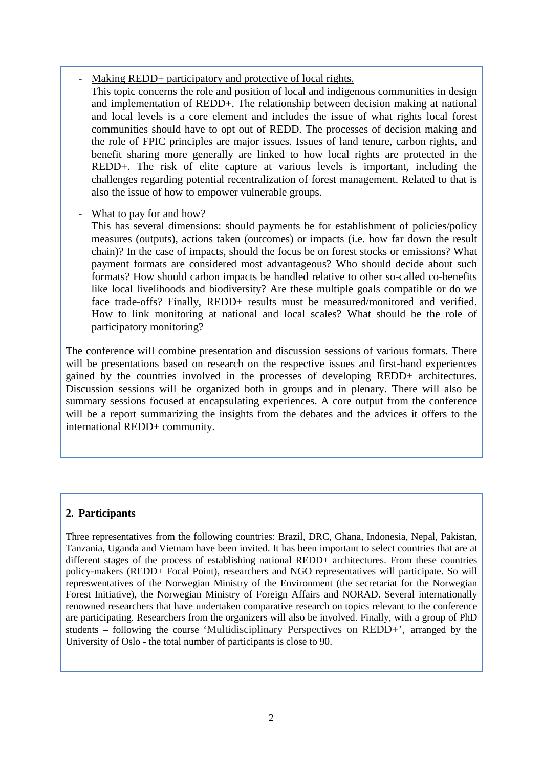Making REDD+ participatory and protective of local rights.

This topic concerns the role and position of local and indigenous communities in design and implementation of REDD+. The relationship between decision making at national and local levels is a core element and includes the issue of what rights local forest communities should have to opt out of REDD. The processes of decision making and the role of FPIC principles are major issues. Issues of land tenure, carbon rights, and benefit sharing more generally are linked to how local rights are protected in the REDD+. The risk of elite capture at various levels is important, including the challenges regarding potential recentralization of forest management. Related to that is also the issue of how to empower vulnerable groups.

#### What to pay for and how?

This has several dimensions: should payments be for establishment of policies/policy measures (outputs), actions taken (outcomes) or impacts (i.e. how far down the result chain)? In the case of impacts, should the focus be on forest stocks or emissions? What payment formats are considered most advantageous? Who should decide about such formats? How should carbon impacts be handled relative to other so-called co-benefits like local livelihoods and biodiversity? Are these multiple goals compatible or do we face trade-offs? Finally, REDD+ results must be measured/monitored and verified. How to link monitoring at national and local scales? What should be the role of participatory monitoring?

The conference will combine presentation and discussion sessions of various formats. There will be presentations based on research on the respective issues and first-hand experiences gained by the countries involved in the processes of developing REDD+ architectures. Discussion sessions will be organized both in groups and in plenary. There will also be summary sessions focused at encapsulating experiences. A core output from the conference will be a report summarizing the insights from the debates and the advices it offers to the international REDD+ community.

#### **2. Participants**

Three representatives from the following countries: Brazil, DRC, Ghana, Indonesia, Nepal, Pakistan, Tanzania, Uganda and Vietnam have been invited. It has been important to select countries that are at different stages of the process of establishing national REDD+ architectures. From these countries policy-makers (REDD+ Focal Point), researchers and NGO representatives will participate. So will represwentatives of the Norwegian Ministry of the Environment (the secretariat for the Norwegian Forest Initiative), the Norwegian Ministry of Foreign Affairs and NORAD. Several internationally renowned researchers that have undertaken comparative research on topics relevant to the conference are participating. Researchers from the organizers will also be involved. Finally, with a group of PhD students – following the course 'Multidisciplinary Perspectives on REDD+', arranged by the University of Oslo - the total number of participants is close to 90.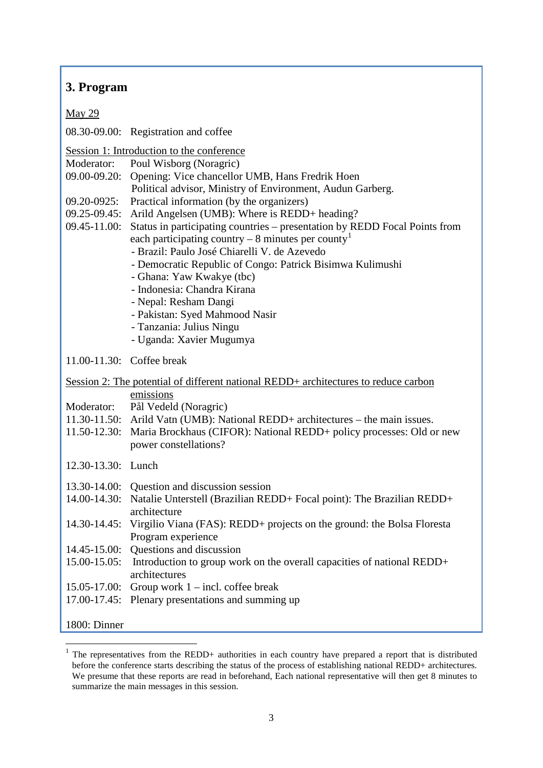#### **3. Program**

May 29

08.30-09.00: Registration and coffee

Session 1: Introduction to the conference

Moderator: Poul Wisborg (Noragric)

- 09.00-09.20: Opening: Vice chancellor UMB, Hans Fredrik Hoen
	- Political advisor, Ministry of Environment, Audun Garberg.
- 09.20-0925: Practical information (by the organizers)
- 09.25-09.45: Arild Angelsen (UMB): Where is REDD+ heading?
- 09.45-11.00: Status in participating countries presentation by REDD Focal Points from each participating country – 8 minutes per county
	- Brazil: Paulo José Chiarelli V. de Azevedo
		- Democratic Republic of Congo: Patrick Bisimwa Kulimushi
	- Ghana: Yaw Kwakye (tbc)
	- Indonesia: Chandra Kirana
	- Nepal: Resham Dangi
	- Pakistan: Syed Mahmood Nasir
	- Tanzania: Julius Ningu
	- Uganda: Xavier Mugumya

11.00-11.30: Coffee break

Session 2: The potential of different national REDD+ architectures to reduce carbon emissions Moderator: Pål Vedeld (Noragric) 11.30-11.50: Arild Vatn (UMB): National REDD+ architectures – the main issues. 11.50-12.30: Maria Brockhaus (CIFOR): National REDD+ policy processes: Old or new power constellations? 12.30-13.30: Lunch 13.30-14.00: Question and discussion session

- 14.00-14.30: Natalie Unterstell (Brazilian REDD+ Focal point): The Brazilian REDD+ architecture
- 14.30-14.45: Virgilio Viana (FAS): REDD+ projects on the ground: the Bolsa Floresta Program experience
- 14.45-15.00: Questions and discussion
- 15.00-15.05: Introduction to group work on the overall capacities of national REDD+ architectures
- 15.05-17.00: Group work  $1$  incl. coffee break
- 17.00-17.45: Plenary presentations and summing up

<sup>1800:</sup> Dinner

<span id="page-2-0"></span> <sup>1</sup> The representatives from the REDD+ authorities in each country have prepared a report that is distributed before the conference starts describing the status of the process of establishing national REDD+ architectures. We presume that these reports are read in beforehand, Each national representative will then get 8 minutes to summarize the main messages in this session.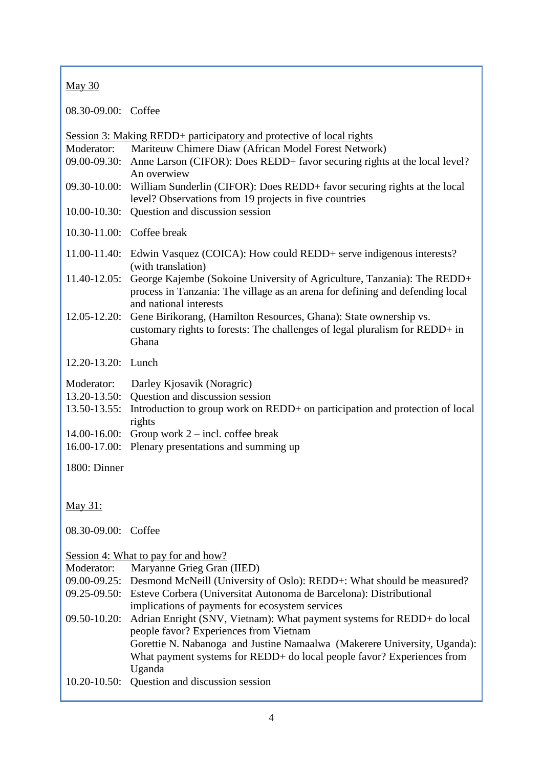#### May 30

08.30-09.00: Coffee

| Moderator:<br>$09.00 - 09.30:$<br>$09.30 - 10.00:$<br>$10.00 - 10.30$ :   | Session 3: Making REDD+ participatory and protective of local rights<br>Mariteuw Chimere Diaw (African Model Forest Network)<br>Anne Larson (CIFOR): Does REDD+ favor securing rights at the local level?<br>An overwiew<br>William Sunderlin (CIFOR): Does REDD+ favor securing rights at the local<br>level? Observations from 19 projects in five countries<br>Question and discussion session                                                                                                                                                                    |
|---------------------------------------------------------------------------|----------------------------------------------------------------------------------------------------------------------------------------------------------------------------------------------------------------------------------------------------------------------------------------------------------------------------------------------------------------------------------------------------------------------------------------------------------------------------------------------------------------------------------------------------------------------|
| 10.30-11.00: Coffee break                                                 |                                                                                                                                                                                                                                                                                                                                                                                                                                                                                                                                                                      |
|                                                                           | 11.00-11.40: Edwin Vasquez (COICA): How could REDD+ serve indigenous interests?                                                                                                                                                                                                                                                                                                                                                                                                                                                                                      |
| $11.40 - 12.05$ :                                                         | (with translation)<br>George Kajembe (Sokoine University of Agriculture, Tanzania): The REDD+<br>process in Tanzania: The village as an arena for defining and defending local                                                                                                                                                                                                                                                                                                                                                                                       |
| $12.05 - 12.20$ :                                                         | and national interests<br>Gene Birikorang, (Hamilton Resources, Ghana): State ownership vs.<br>customary rights to forests: The challenges of legal pluralism for REDD+ in<br>Ghana                                                                                                                                                                                                                                                                                                                                                                                  |
| 12.20-13.20: Lunch                                                        |                                                                                                                                                                                                                                                                                                                                                                                                                                                                                                                                                                      |
| Moderator:<br>$13.20 - 13.50$ :<br>$13.50 - 13.55$ :<br>$14.00 - 16.00$ : | Darley Kjosavik (Noragric)<br>Question and discussion session<br>Introduction to group work on REDD+ on participation and protection of local<br>rights<br>Group work $2$ – incl. coffee break                                                                                                                                                                                                                                                                                                                                                                       |
| $16.00 - 17.00$ :                                                         | Plenary presentations and summing up                                                                                                                                                                                                                                                                                                                                                                                                                                                                                                                                 |
| 1800: Dinner                                                              |                                                                                                                                                                                                                                                                                                                                                                                                                                                                                                                                                                      |
| May 31:                                                                   |                                                                                                                                                                                                                                                                                                                                                                                                                                                                                                                                                                      |
| 08.30-09.00: Coffee                                                       |                                                                                                                                                                                                                                                                                                                                                                                                                                                                                                                                                                      |
| Moderator:<br>$09.00 - 09.25$ :<br>09.50-10.20:                           | Session 4: What to pay for and how?<br>Maryanne Grieg Gran (IIED)<br>Desmond McNeill (University of Oslo): REDD+: What should be measured?<br>09.25-09.50: Esteve Corbera (Universitat Autonoma de Barcelona): Distributional<br>implications of payments for ecosystem services<br>Adrian Enright (SNV, Vietnam): What payment systems for REDD+ do local<br>people favor? Experiences from Vietnam<br>Gorettie N. Nabanoga and Justine Namaalwa (Makerere University, Uganda):<br>What payment systems for REDD+ do local people favor? Experiences from<br>Uganda |
|                                                                           | 10.20-10.50: Question and discussion session                                                                                                                                                                                                                                                                                                                                                                                                                                                                                                                         |